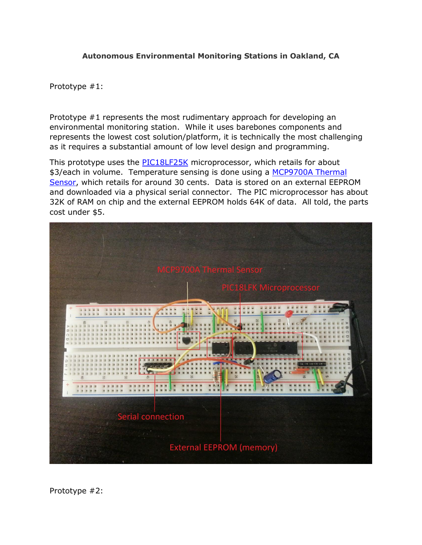## **Autonomous Environmental Monitoring Stations in Oakland, CA**

Prototype #1:

Prototype #1 represents the most rudimentary approach for developing an environmental monitoring station. While it uses barebones components and represents the lowest cost solution/platform, it is technically the most challenging as it requires a substantial amount of low level design and programming.

This prototype uses the [PIC18LF25K](http://www.newark.com/microchip/pic18lf2431-i-so/ic-8bit-mcu-pic18lf-40mhz-soic/dp/89H0737) microprocessor, which retails for about \$3/each in volume. Temperature sensing is done using a MCP9700A Thermal [Sensor,](http://www.microchip.com/wwwproducts/Devices.aspx?dDocName=en027103) which retails for around 30 cents. Data is stored on an external EEPROM and downloaded via a physical serial connector. The PIC microprocessor has about 32K of RAM on chip and the external EEPROM holds 64K of data. All told, the parts cost under \$5.



Prototype #2: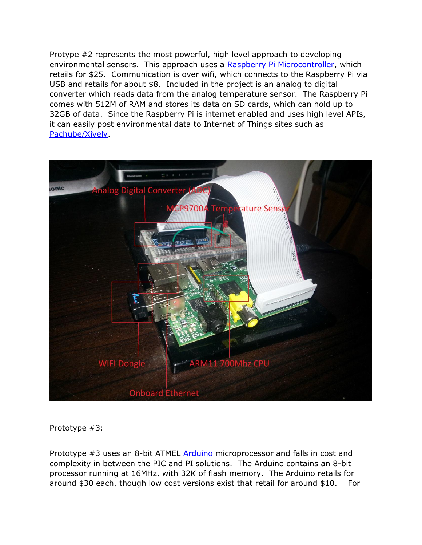Protype #2 represents the most powerful, high level approach to developing environmental sensors. This approach uses a [Raspberry Pi Microcontroller,](http://www.raspberrypi.com/) which retails for \$25. Communication is over wifi, which connects to the Raspberry Pi via USB and retails for about \$8. Included in the project is an analog to digital converter which reads data from the analog temperature sensor. The Raspberry Pi comes with 512M of RAM and stores its data on SD cards, which can hold up to 32GB of data. Since the Raspberry Pi is internet enabled and uses high level APIs, it can easily post environmental data to Internet of Things sites such as [Pachube/Xively.](https://xively.com/)



Prototype #3:

Prototype #3 uses an 8-bit ATMEL **Arduino** microprocessor and falls in cost and complexity in between the PIC and PI solutions. The Arduino contains an 8-bit processor running at 16MHz, with 32K of flash memory. The Arduino retails for around \$30 each, though low cost versions exist that retail for around \$10. For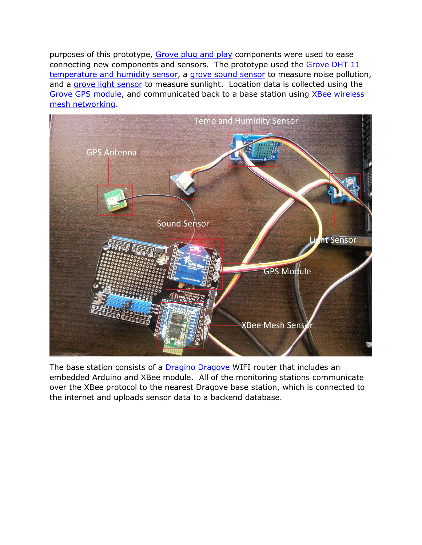purposes of this prototype, [Grove plug and play](http://www.seeedstudio.com/wiki/GROVE_System) components were used to ease connecting new components and sensors. The prototype used the Grove DHT 11 [temperature and humidity sensor,](http://www.seeedstudio.com/wiki/Grove-_Temperature_and_Humidity_Sensor) a [grove sound sensor](http://www.seeedstudio.com/wiki/Grove_-_Sound_Sensor) to measure noise pollution, and a [grove light sensor](http://www.seeedstudio.com/depot/grove-light-sensor-p-746.html) to measure sunlight. Location data is collected using the [Grove GPS module,](http://www.seeedstudio.com/wiki/Grove_-_GPS) and communicated back to a base station using XBee wireless [mesh networking.](http://en.wikipedia.org/wiki/XBee)



The base station consists of a **Dragino Dragove** WIFI router that includes an embedded Arduino and XBee module. All of the monitoring stations communicate over the XBee protocol to the nearest Dragove base station, which is connected to the internet and uploads sensor data to a backend database.